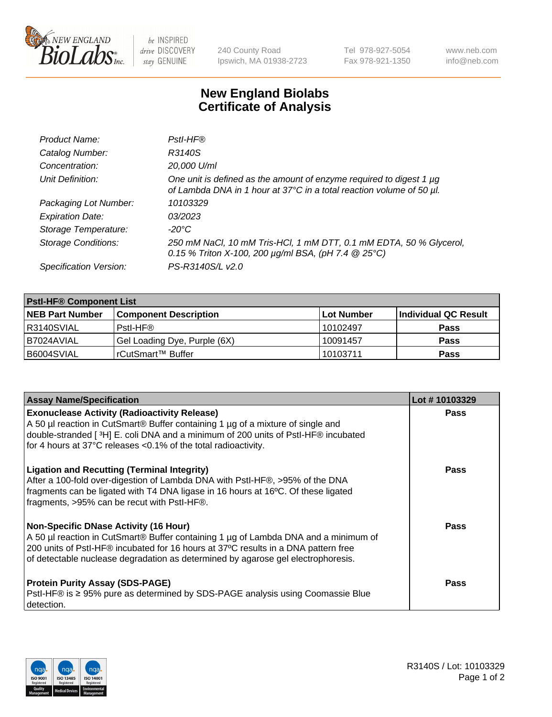

 $be$  INSPIRED drive DISCOVERY stay GENUINE

240 County Road Ipswich, MA 01938-2723 Tel 978-927-5054 Fax 978-921-1350 www.neb.com info@neb.com

## **New England Biolabs Certificate of Analysis**

| Product Name:              | Pstl-HF®                                                                                                                                             |
|----------------------------|------------------------------------------------------------------------------------------------------------------------------------------------------|
| Catalog Number:            | R3140S                                                                                                                                               |
| Concentration:             | 20,000 U/ml                                                                                                                                          |
| Unit Definition:           | One unit is defined as the amount of enzyme required to digest 1 µg<br>of Lambda DNA in 1 hour at 37°C in a total reaction volume of 50 µl.          |
| Packaging Lot Number:      | 10103329                                                                                                                                             |
| <b>Expiration Date:</b>    | 03/2023                                                                                                                                              |
| Storage Temperature:       | $-20^{\circ}$ C                                                                                                                                      |
| <b>Storage Conditions:</b> | 250 mM NaCl, 10 mM Tris-HCl, 1 mM DTT, 0.1 mM EDTA, 50 % Glycerol,<br>0.15 % Triton X-100, 200 $\mu$ g/ml BSA, (pH 7.4 $\textcircled{25}^{\circ}$ C) |
| Specification Version:     | PS-R3140S/L v2.0                                                                                                                                     |

| <b>Pstl-HF® Component List</b> |                              |                   |                      |  |
|--------------------------------|------------------------------|-------------------|----------------------|--|
| <b>NEB Part Number</b>         | <b>Component Description</b> | <b>Lot Number</b> | Individual QC Result |  |
| IR3140SVIAL                    | Pstl-HF®                     | 10102497          | <b>Pass</b>          |  |
| B7024AVIAL                     | Gel Loading Dye, Purple (6X) | 10091457          | <b>Pass</b>          |  |
| B6004SVIAL                     | l rCutSmart™ Buffer          | 10103711          | <b>Pass</b>          |  |

| <b>Assay Name/Specification</b>                                                                                                                                                                                                                                                                               | Lot #10103329 |
|---------------------------------------------------------------------------------------------------------------------------------------------------------------------------------------------------------------------------------------------------------------------------------------------------------------|---------------|
| <b>Exonuclease Activity (Radioactivity Release)</b><br>A 50 µl reaction in CutSmart® Buffer containing 1 µg of a mixture of single and                                                                                                                                                                        | <b>Pass</b>   |
| double-stranded [3H] E. coli DNA and a minimum of 200 units of PstI-HF® incubated<br>for 4 hours at 37°C releases <0.1% of the total radioactivity.                                                                                                                                                           |               |
| <b>Ligation and Recutting (Terminal Integrity)</b><br>After a 100-fold over-digestion of Lambda DNA with PstI-HF®, >95% of the DNA<br>fragments can be ligated with T4 DNA ligase in 16 hours at 16°C. Of these ligated<br>fragments, >95% can be recut with PstI-HF®.                                        | Pass          |
| <b>Non-Specific DNase Activity (16 Hour)</b><br>A 50 µl reaction in CutSmart® Buffer containing 1 µg of Lambda DNA and a minimum of<br>200 units of PstI-HF® incubated for 16 hours at 37°C results in a DNA pattern free<br>of detectable nuclease degradation as determined by agarose gel electrophoresis. | <b>Pass</b>   |
| <b>Protein Purity Assay (SDS-PAGE)</b><br>PstI-HF® is ≥ 95% pure as determined by SDS-PAGE analysis using Coomassie Blue<br>I detection.                                                                                                                                                                      | Pass          |